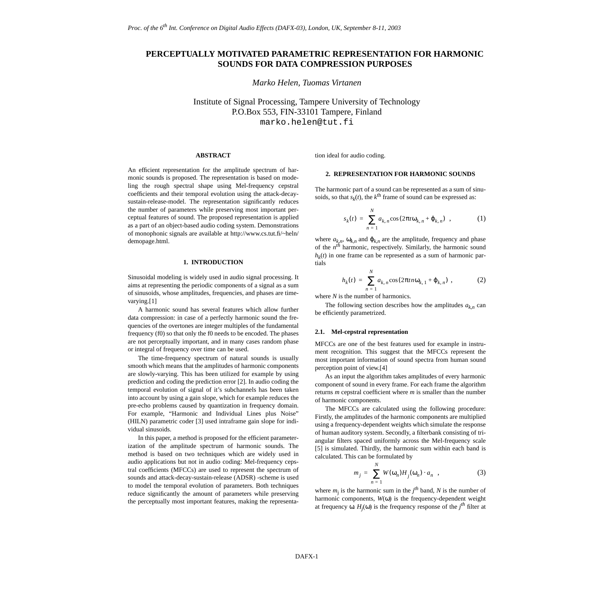# **PERCEPTUALLY MOTIVATED PARAMETRIC REPRESENTATION FOR HARMONIC SOUNDS FOR DATA COMPRESSION PURPOSES**

*Marko Helen, Tuomas Virtanen*

Institute of Signal Processing, Tampere University of Technology P.O.Box 553, FIN-33101 Tampere, Finland marko.helen@tut.fi

## **ABSTRACT**

An efficient representation for the amplitude spectrum of harmonic sounds is proposed. The representation is based on modeling the rough spectral shape using Mel-frequency cepstral coefficients and their temporal evolution using the attack-decaysustain-release-model. The representation significantly reduces the number of parameters while preserving most important perceptual features of sound. The proposed representation is applied as a part of an object-based audio coding system. Demonstrations of monophonic signals are available at http://www.cs.tut.fi/~heln/ demopage.html.

# **1. INTRODUCTION**

Sinusoidal modeling is widely used in audio signal processing. It aims at representing the periodic components of a signal as a sum of sinusoids, whose amplitudes, frequencies, and phases are timevarying.[[1](#page-4-2)]

A harmonic sound has several features which allow further data compression: in case of a perfectly harmonic sound the frequencies of the overtones are integer multiples of the fundamental frequency (f0) so that only the f0 needs to be encoded. The phases are not perceptually important, and in many cases random phase or integral of frequency over time can be used.

The time-frequency spectrum of natural sounds is usually smooth which means that the amplitudes of harmonic components are slowly-varying. This has been utilized for example by using prediction and coding the prediction error [\[2\]](#page-4-3). In audio coding the temporal evolution of signal of it's subchannels has been taken into account by using a gain slope, which for example reduces the pre-echo problems caused by quantization in frequency domain. For example, "Harmonic and Individual Lines plus Noise" (HILN) parametric coder [\[3\]](#page-4-4) used intraframe gain slope for individual sinusoids.

In this paper, a method is proposed for the efficient parameterization of the amplitude spectrum of harmonic sounds. The method is based on two techniques which are widely used in audio applications but not in audio coding: Mel-frequency cepstral coefficients (MFCCs) are used to represent the spectrum of sounds and attack-decay-sustain-release (ADSR) -scheme is used to model the temporal evolution of parameters. Both techniques reduce significantly the amount of parameters while preserving the perceptually most important features, making the representation ideal for audio coding.

## **2. REPRESENTATION FOR HARMONIC SOUNDS**

The harmonic part of a sound can be represented as a sum of sinusoids, so that  $s_k(t)$ , the  $k^{\text{th}}$  frame of sound can be expressed as:

$$
s_k(t) = \sum_{n=1}^{N} a_{k,n} \cos(2\pi t \omega_{k,n} + \varphi_{k,n}) \quad , \tag{1}
$$

where  $a_{k,n}$ ,  $\omega_{k,n}$  and  $\varphi_{k,n}$  are the amplitude, frequency and phase of the *nth* harmonic, respectively. Similarly, the harmonic sound  $h_k(t)$  in one frame can be represented as a sum of harmonic partials

$$
h_k(t) = \sum_{n=1}^{N} a_{k,n} \cos(2\pi tn \omega_{k,1} + \varphi_{k,n}), \qquad (2)
$$

where *N* is the number of harmonics.

The following section describes how the amplitudes  $a_{k,n}$  can be efficiently parametrized.

#### **2.1. Mel-cepstral representation**

MFCCs are one of the best features used for example in instrument recognition. This suggest that the MFCCs represent the most important information of sound spectra from human sound perception point of view.[\[4\]](#page-4-1)

As an input the algorithm takes amplitudes of every harmonic component of sound in every frame. For each frame the algorithm returns *m* cepstral coefficient where *m* is smaller than the number of harmonic components.

The MFCCs are calculated using the following procedure: Firstly, the amplitudes of the harmonic components are multiplied using a frequency-dependent weights which simulate the response of human auditory system. Secondly, a filterbank consisting of triangular filters spaced uniformly across the Mel-frequency scale [[5](#page-4-0)] is simulated. Thirdly, the harmonic sum within each band is calculated. This can be formulated by

$$
m_j = \sum_{n=1}^{N} W(\omega_n) H_j(\omega_n) \cdot a_n , \qquad (3)
$$

where  $m_j$  is the harmonic sum in the  $j^{th}$  band, N is the number of harmonic components, *W*(ω) is the frequency-dependent weight at frequency  $\omega$ . *H<sub>j</sub>*( $\omega$ ) is the frequency response of the *j<sup>th</sup>* filter at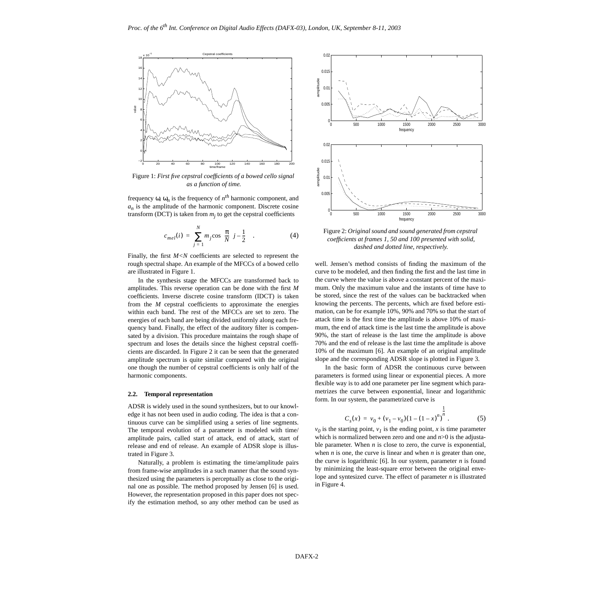

Figure 1: *First five cepstral coefficients of a bowed cello signal as a function of time.*

frequency  $\omega$ ,  $\omega_n$  is the frequency of  $n^{th}$  harmonic component, and *an* is the amplitude of the harmonic component. Discrete cosine transform (DCT) is taken from  $m_j$  to get the cepstral coefficients

$$
c_{mel}(i) = \sum_{j=1}^{N} m_j \cos\left(\frac{\pi}{N}\left(j - \frac{1}{2}\right)\right). \tag{4}
$$

Finally, the first  $M < N$  coefficients are selected to represent the rough spectral shape. An example of the MFCCs of a bowed cello are illustrated in Figure 1.

In the synthesis stage the MFCCs are transformed back to amplitudes. This reverse operation can be done with the first *M* coefficients. Inverse discrete cosine transform (IDCT) is taken from the *M* cepstral coefficients to approximate the energies within each band. The rest of the MFCCs are set to zero. The energies of each band are being divided uniformly along each frequency band. Finally, the effect of the auditory filter is compensated by a division. This procedure maintains the rough shape of spectrum and loses the details since the highest cepstral coefficients are discarded. In Figure 2 it can be seen that the generated amplitude spectrum is quite similar compared with the original one though the number of cepstral coefficients is only half of the harmonic components.

#### **2.2. Temporal representation**

ADSR is widely used in the sound synthesizers, but to our knowledge it has not been used in audio coding. The idea is that a continuous curve can be simplified using a series of line segments. The temporal evolution of a parameter is modeled with time/ amplitude pairs, called start of attack, end of attack, start of release and end of release. An example of ADSR slope is illustrated in Figure [3](#page-2-0).

Naturally, a problem is estimating the time/amplitude pairs from frame-wise amplitudes in a such manner that the sound synthesized using the parameters is perceptually as close to the original one as possible. The method proposed by Jensen [[6](#page-4-5)] is used. However, the representation proposed in this paper does not specify the estimation method, so any other method can be used as



Figure 2: *Original sound and sound generated from cepstral coefficients at frames 1, 50 and 100 presented with solid, dashed and dotted line, respectively.*

well. Jensen's method consists of finding the maximum of the curve to be modeled, and then finding the first and the last time in the curve where the value is above a constant percent of the maximum. Only the maximum value and the instants of time have to be stored, since the rest of the values can be backtracked when knowing the percents. The percents, which are fixed before estimation, can be for example 10%, 90% and 70% so that the start of attack time is the first time the amplitude is above 10% of maximum, the end of attack time is the last time the amplitude is above 90%, the start of release is the last time the amplitude is above 70% and the end of release is the last time the amplitude is above 10% of the maximum [\[6\]](#page-4-5). An example of an original amplitude slope and the corresponding ADSR slope is plotted in Figure [3.](#page-2-0)

In the basic form of ADSR the continuous curve between parameters is formed using linear or exponential pieces. A more flexible way is to add one parameter per line segment which parametrizes the curve between exponential, linear and logarithmic form. In our system, the parametrized curve is

$$
C_s(x) = v_0 + (v_1 - v_0)(1 - (1 - x)^n)^{\frac{1}{n}}.
$$
 (5)

 $v_0$  is the starting point,  $v_1$  is the ending point, *x* is time parameter which is normalized between zero and one and *n*>0 is the adjustable parameter. When *n* is close to zero, the curve is exponential, when  $n$  is one, the curve is linear and when  $n$  is greater than one, the curve is logarithmic  $[6]$ . In our system, parameter *n* is found by minimizing the least-square error between the original envelope and syntesized curve. The effect of parameter *n* is illustrated in Figure [4](#page-2-1).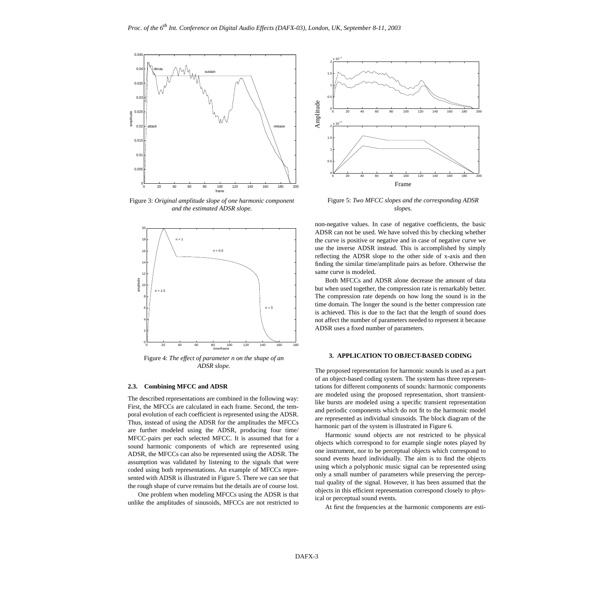

<span id="page-2-0"></span>Figure 3: *Original amplitude slope of one harmonic component and the estimated ADSR slope.*



<span id="page-2-1"></span>Figure 4: *The effect of parameter n on the shape of an ADSR slope.*

# **2.3. Combining MFCC and ADSR**

The described representations are combined in the following way: First, the MFCCs are calculated in each frame. Second, the temporal evolution of each coefficient is represented using the ADSR. Thus, instead of using the ADSR for the amplitudes the MFCCs are further modeled using the ADSR, producing four time/ MFCC-pairs per each selected MFCC. It is assumed that for a sound harmonic components of which are represented using ADSR, the MFCCs can also be represented using the ADSR. The assumption was validated by listening to the signals that were coded using both representations. An example of MFCCs represented with ADSR is illustrated in Figure [5](#page-2-2). There we can see that the rough shape of curve remains but the details are of course lost.

One problem when modeling MFCCs using the ADSR is that unlike the amplitudes of sinusoids, MFCCs are not restricted to



<span id="page-2-2"></span>Figure 5: *Two MFCC slopes and the corresponding ADSR slopes.*

non-negative values. In case of negative coefficients, the basic ADSR can not be used. We have solved this by checking whether the curve is positive or negative and in case of negative curve we use the inverse ADSR instead. This is accomplished by simply reflecting the ADSR slope to the other side of x-axis and then finding the similar time/amplitude pairs as before. Otherwise the same curve is modeled.

Both MFCCs and ADSR alone decrease the amount of data but when used together, the compression rate is remarkably better. The compression rate depends on how long the sound is in the time domain. The longer the sound is the better compression rate is achieved. This is due to the fact that the length of sound does not affect the number of parameters needed to represent it because ADSR uses a fixed number of parameters.

# **3. APPLICATION TO OBJECT-BASED CODING**

The proposed representation for harmonic sounds is used as a part of an object-based coding system. The system has three representations for different components of sounds: harmonic components are modeled using the proposed representation, short transientlike bursts are modeled using a specific transient representation and periodic components which do not fit to the harmonic model are represented as individual sinusoids. The block diagram of the harmonic part of the system is illustrated in Figure [6](#page-3-0).

Harmonic sound objects are not restricted to be physical objects which correspond to for example single notes played by one instrument, nor to be perceptual objects which correspond to sound events heard individually. The aim is to find the objects using which a polyphonic music signal can be represented using only a small number of parameters while preserving the perceptual quality of the signal. However, it has been assumed that the objects in this efficient representation correspond closely to physical or perceptual sound events.

At first the frequencies at the harmonic components are esti-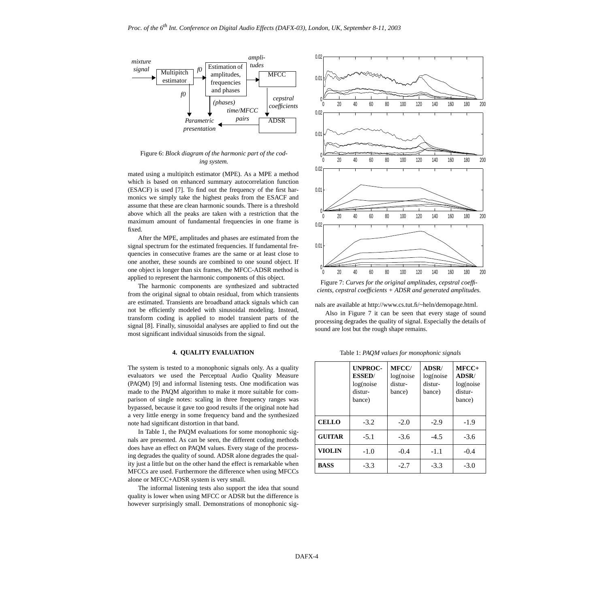

<span id="page-3-0"></span>Figure 6: *Block diagram of the harmonic part of the coding system.*

mated using a multipitch estimator (MPE). As a MPE a method which is based on enhanced summary autocorrelation function (ESACF) is used [\[7\]](#page-4-7). To find out the frequency of the first harmonics we simply take the highest peaks from the ESACF and assume that these are clean harmonic sounds. There is a threshold above which all the peaks are taken with a restriction that the maximum amount of fundamental frequencies in one frame is fixed.

After the MPE, amplitudes and phases are estimated from the signal spectrum for the estimated frequencies. If fundamental frequencies in consecutive frames are the same or at least close to one another, these sounds are combined to one sound object. If one object is longer than six frames, the MFCC-ADSR method is applied to represent the harmonic components of this object.

The harmonic components are synthesized and subtracted from the original signal to obtain residual, from which transients are estimated. Transients are broadband attack signals which can not be efficiently modeled with sinusoidal modeling. Instead, transform coding is applied to model transient parts of the signal [[8](#page-4-6)]. Finally, sinusoidal analyses are applied to find out the most significant individual sinusoids from the signal.

# **4. QUALITY EVALUATION**

The system is tested to a monophonic signals only. As a quality evaluators we used the Perceptual Audio Quality Measure (PAQM) [\[9\]](#page-4-8) and informal listening tests. One modification was made to the PAQM algorithm to make it more suitable for comparison of single notes: scaling in three frequency ranges was bypassed, because it gave too good results if the original note had a very little energy in some frequency band and the synthesized note had significant distortion in that band.

In Table [1,](#page-3-2) the PAQM evaluations for some monophonic signals are presented. As can be seen, the different coding methods does have an effect on PAQM values. Every stage of the processing degrades the quality of sound. ADSR alone degrades the quality just a little but on the other hand the effect is remarkable when MFCCs are used. Furthermore the difference when using MFCCs alone or MFCC+ADSR system is very small.

The informal listening tests also support the idea that sound quality is lower when using MFCC or ADSR but the difference is however surprisingly small. Demonstrations of monophonic sig-



<span id="page-3-1"></span>Figure 7: *Curves for the original amplitudes, cepstral coefficients, cepstral coefficients + ADSR and generated amplitudes.*

nals are available at http://www.cs.tut.fi/~heln/demopage.html.

Also in Figure [7](#page-3-1) it can be seen that every stage of sound processing degrades the quality of signal. Especially the details of sound are lost but the rough shape remains.

Table 1: *PAQM values for monophonic signals*

<span id="page-3-2"></span>

|               | <b>UNPROC-</b><br><b>ESSED/</b><br>log(noise<br>distur-<br>bance) | <b>MFCC/</b><br>log(noise<br>distur-<br>bance) | ADSR/<br>log(noise<br>distur-<br>bance) | $MFCC+$<br>ADSR/<br>log(noise<br>distur-<br>bance) |
|---------------|-------------------------------------------------------------------|------------------------------------------------|-----------------------------------------|----------------------------------------------------|
| <b>CELLO</b>  | $-3.2$                                                            | $-2.0$                                         | $-2.9$                                  | $-1.9$                                             |
| <b>GUITAR</b> | $-5.1$                                                            | $-3.6$                                         | $-4.5$                                  | $-3.6$                                             |
| <b>VIOLIN</b> | $-1.0$                                                            | $-0.4$                                         | $-1.1$                                  | $-0.4$                                             |
| <b>BASS</b>   | $-3.3$                                                            | $-2.7$                                         | $-3.3$                                  | $-3.0$                                             |